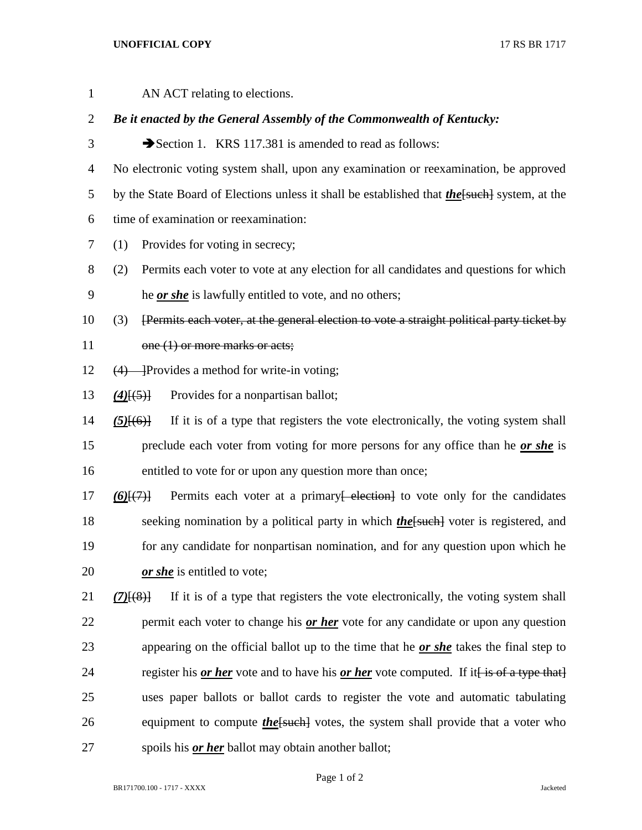## **UNOFFICIAL COPY** 17 RS BR 1717

| $\mathbf{1}$   | AN ACT relating to elections.                                                                        |
|----------------|------------------------------------------------------------------------------------------------------|
| $\overline{c}$ | Be it enacted by the General Assembly of the Commonwealth of Kentucky:                               |
| 3              | Section 1. KRS 117.381 is amended to read as follows:                                                |
| $\overline{4}$ | No electronic voting system shall, upon any examination or reexamination, be approved                |
| 5              | by the State Board of Elections unless it shall be established that <i>the</i> [such] system, at the |
| 6              | time of examination or reexamination:                                                                |
| 7              | Provides for voting in secrecy;<br>(1)                                                               |
| 8              | Permits each voter to vote at any election for all candidates and questions for which<br>(2)         |
| 9              | he or she is lawfully entitled to vote, and no others;                                               |
| 10             | [Permits each voter, at the general election to vote a straight political party ticket by<br>(3)     |
| 11             | one (1) or more marks or acts;                                                                       |
| 12             | $(4)$ ---]Provides a method for write-in voting;                                                     |
| 13             | Provides for a nonpartisan ballot;<br>$(4)$ $(5)$ }                                                  |
| 14             | If it is of a type that registers the vote electronically, the voting system shall<br>$(5)$ $(6)$ }  |
| 15             | preclude each voter from voting for more persons for any office than he or she is                    |
| 16             | entitled to vote for or upon any question more than once;                                            |
| 17             | Permits each voter at a primary election to vote only for the candidates<br>$(6)$ $(7)$              |
| 18             | seeking nomination by a political party in which <i>the</i> [such] voter is registered, and          |
| 19             | for any candidate for nonpartisan nomination, and for any question upon which he                     |
| 20             | or she is entitled to vote;                                                                          |
| 21             | If it is of a type that registers the vote electronically, the voting system shall<br>$(7)$ $(8)$    |
| 22             | permit each voter to change his <i>or her</i> vote for any candidate or upon any question            |
| 23             | appearing on the official ballot up to the time that he <u>or she</u> takes the final step to        |
| 24             | register his or her vote and to have his or her vote computed. If it is of a type that               |
| 25             | uses paper ballots or ballot cards to register the vote and automatic tabulating                     |
| 26             | equipment to compute <i>the</i> [such] votes, the system shall provide that a voter who              |
| 27             | spoils his <i>or her</i> ballot may obtain another ballot;                                           |

Page 1 of 2